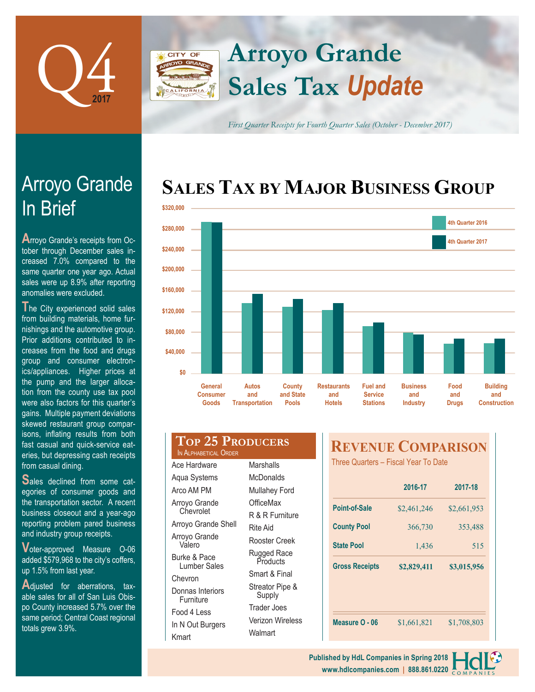

**CITY OF** 

Arroyo Grande

**A**rroyo Grande's receipts from October through December sales increased 7.0% compared to the same quarter one year ago. Actual sales were up 8.9% after reporting

**T**he City experienced solid sales from building materials, home furnishings and the automotive group. Prior additions contributed to increases from the food and drugs group and consumer electronics/appliances. Higher prices at

anomalies were excluded.

In Brief

# **Sales Tax** *Update* **Arroyo Grande**

*First Quarter Receipts for Fourth Quarter Sales (October - December 2017)*

## **SALES TAX BY MAJOR BUSINESS GROUP**



| the pump and the larger alloca-      |
|--------------------------------------|
| tion from the county use tax pool    |
| were also factors for this quarter's |
| gains. Multiple payment deviations   |
| skewed restaurant group compar-      |
| isons, inflating results from both   |
| fast casual and quick-service eat-   |
| eries, but depressing cash receipts  |
| from casual dining.                  |
|                                      |

**S**ales declined from some categories of consumer goods and the transportation sector. A recent business closeout and a year-ago reporting problem pared business and industry group receipts.

**V**oter-approved Measure O-06 added \$579,968 to the city's coffers, up 1.5% from last year.

**A**djusted for aberrations, taxable sales for all of San Luis Obispo County increased 5.7% over the same period; Central Coast regional totals grew 3.9%.

| General<br><b>Consumer</b><br>Goods | Autos<br>and<br><b>Transportation</b> | County<br>and State<br><b>Pools</b> | <b>Restaurants</b><br>and<br><b>Hotels</b> | <b>Fuel and</b><br><b>Service</b><br><b>Stations</b> |  |
|-------------------------------------|---------------------------------------|-------------------------------------|--------------------------------------------|------------------------------------------------------|--|
|                                     | TOP 25 PRODUCERS                      |                                     | EVENHE.                                    |                                                      |  |

| IN ALPHABETICAL ORDER         |                           |
|-------------------------------|---------------------------|
| Ace Hardware                  | Marshalls                 |
| Aqua Systems                  | McDonalds                 |
| Arco AM PM                    | <b>Mullahey Ford</b>      |
| Arroyo Grande                 | OfficeMax                 |
| Chevrolet                     | R & R Furniture           |
| Arroyo Grande Shell           | Rite Aid                  |
| Arroyo Grande<br>Valero       | Rooster Creek             |
| Burke & Pace<br>Lumber Sales  | Rugged Race<br>Products   |
| Chevron                       | Smart & Final             |
| Donnas Interiors<br>Furniture | Streator Pipe &<br>Supply |
| Food 4 Less                   | Trader Joes               |
| In N Out Burgers              | Verizon Wireless          |

**Walmart** 

Kmart

## **REVENUE COMPARISON**

Three Quarters – Fiscal Year To Date

|                       | 2016-17     | 2017-18     |
|-----------------------|-------------|-------------|
| Point-of-Sale         | \$2,461,246 | \$2,661,953 |
| <b>County Pool</b>    | 366,730     | 353,488     |
| <b>State Pool</b>     | 1,436       | 515         |
|                       |             |             |
| <b>Gross Receipts</b> | \$2,829,411 | \$3,015,956 |
|                       |             |             |
|                       |             |             |